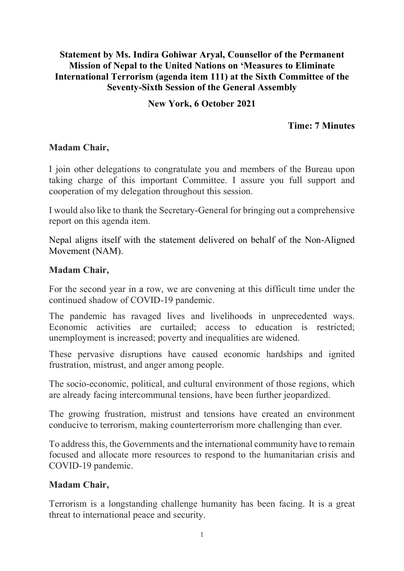## **Statement by Ms. Indira Gohiwar Aryal, Counsellor of the Permanent Mission of Nepal to the United Nations on 'Measures to Eliminate International Terrorism (agenda item 111) at the Sixth Committee of the Seventy-Sixth Session of the General Assembly**

## **New York, 6 October 2021**

## **Time: 7 Minutes**

#### **Madam Chair,**

I join other delegations to congratulate you and members of the Bureau upon taking charge of this important Committee. I assure you full support and cooperation of my delegation throughout this session.

I would also like to thank the Secretary-General for bringing out a comprehensive report on this agenda item.

Nepal aligns itself with the statement delivered on behalf of the Non-Aligned Movement (NAM).

#### **Madam Chair,**

For the second year in a row, we are convening at this difficult time under the continued shadow of COVID-19 pandemic.

The pandemic has ravaged lives and livelihoods in unprecedented ways. Economic activities are curtailed; access to education is restricted; unemployment is increased; poverty and inequalities are widened.

These pervasive disruptions have caused economic hardships and ignited frustration, mistrust, and anger among people.

The socio-economic, political, and cultural environment of those regions, which are already facing intercommunal tensions, have been further jeopardized.

The growing frustration, mistrust and tensions have created an environment conducive to terrorism, making counterterrorism more challenging than ever.

To address this, the Governments and the international community have to remain focused and allocate more resources to respond to the humanitarian crisis and COVID-19 pandemic.

# **Madam Chair,**

Terrorism is a longstanding challenge humanity has been facing. It is a great threat to international peace and security.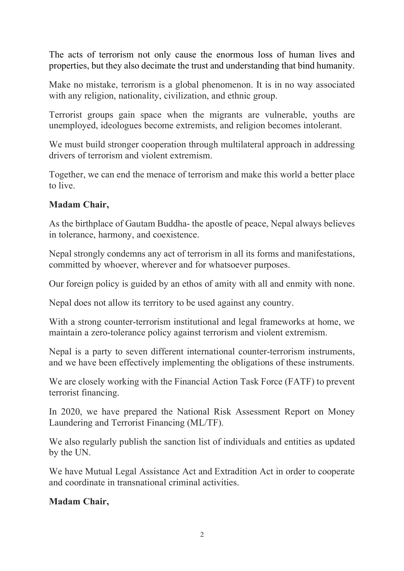The acts of terrorism not only cause the enormous loss of human lives and properties, but they also decimate the trust and understanding that bind humanity.

Make no mistake, terrorism is a global phenomenon. It is in no way associated with any religion, nationality, civilization, and ethnic group.

Terrorist groups gain space when the migrants are vulnerable, youths are unemployed, ideologues become extremists, and religion becomes intolerant.

We must build stronger cooperation through multilateral approach in addressing drivers of terrorism and violent extremism.

Together, we can end the menace of terrorism and make this world a better place to live.

## **Madam Chair,**

As the birthplace of Gautam Buddha- the apostle of peace, Nepal always believes in tolerance, harmony, and coexistence.

Nepal strongly condemns any act of terrorism in all its forms and manifestations, committed by whoever, wherever and for whatsoever purposes.

Our foreign policy is guided by an ethos of amity with all and enmity with none.

Nepal does not allow its territory to be used against any country.

With a strong counter-terrorism institutional and legal frameworks at home, we maintain a zero-tolerance policy against terrorism and violent extremism.

Nepal is a party to seven different international counter-terrorism instruments, and we have been effectively implementing the obligations of these instruments.

We are closely working with the Financial Action Task Force (FATF) to prevent terrorist financing.

In 2020, we have prepared the National Risk Assessment Report on Money Laundering and Terrorist Financing (ML/TF).

We also regularly publish the sanction list of individuals and entities as updated by the UN.

We have Mutual Legal Assistance Act and Extradition Act in order to cooperate and coordinate in transnational criminal activities.

**Madam Chair,**